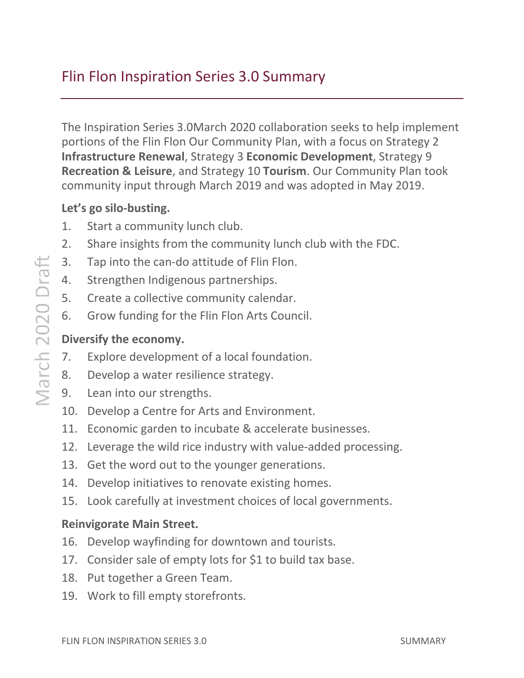# Flin Flon Inspiration Series 3.0

The Inspiration Series 3.0March 2020 collaboration seeks to help implement portions of the Flin Flon Our Community Plan, with a focus on Strategy 2 Infrastructure Renewal, Strategy 3 Economic Development, Strategy 9 Recreation & Leisure, and Strategy 10 Tourism. Our Community Plan took community input through March 2019 and was adopted in May 2019. ration Series 3.0 Summary<br>
ries 3.0March 2020 collaboration<br>
ries 3.0March 2020 collaboration<br>
rien Flon Our Community Plan, with<br>
rewal, Strategy 3 **Economic Deve**<br>
ure, and Strategy 10 Tourism. Ou<br>
through March 2019 and ur Community Plan, with a focus on Strategy 2<br>
Interakey 3 **Economic Development**, Strategy 9<br>
Strategy 10 **Tourism**. Our Community Plan too<br>
March 2019 and was adopted in May 2019.

#### [Let's go silo-busting.](#page-2-0)

- 1. [Start a community lunch club.](#page-2-0)
- 2. [Share insights from the community lunch club with the FDC.](#page-2-0)
- 3. [Tap into the can-do attitude of Flin Flon.](#page-3-0)
- 3. Tap into the can-do attitude of Flin F<br>4. [Strengthen Indigenous](#page-3-0) partnerships.
- 5. [Create a collective community calendar.](#page-3-0)
- 6. [Grow funding for the Flin Flon Arts Council](#page-3-0) Council.

#### [Diversify the economy.](#page-4-0)

- 7. [Explore development of a local foundation.](#page-4-0)
- 8. [Develop a water resilience strategy.](#page-4-0)
- 9. [Lean into our strengths.](#page-4-0)
- 10. [Develop a Centre for Arts and Environment.](#page-4-0)
- 11. Economic garden to incubate & accelerate businesses.
- 12. Leverage the wild rice industry with value-added processing community lunch club with the FDC.<br>
tude of Flin Flon.<br>
partnerships.<br>
munity calendar.<br>
n Flon Arts Council.<br>
i a local foundation.<br>
nce strategy.<br>
ts and Environment.<br>
ubate & accelerate businesses.<br>
ndustry with value-a
- 13. [Get the word out to the younger generations.](#page-5-0)
- 14. [Develop initiatives to renovate existing homes.](#page-5-0)
- 15. [Look carefully at investment choices of local governments.](#page-5-0) Look carefully

#### [Reinvigorate Main Street.](#page-6-0)

- 16. [Develop wayfinding for downtown and tourists.](#page-6-0)
- 17. Consider sale of empty lots for \$1 to build tax base.
- 18. [Put together a Green Team.](#page-7-0)
- 19. [Work to fill empty storefronts.](#page-7-0)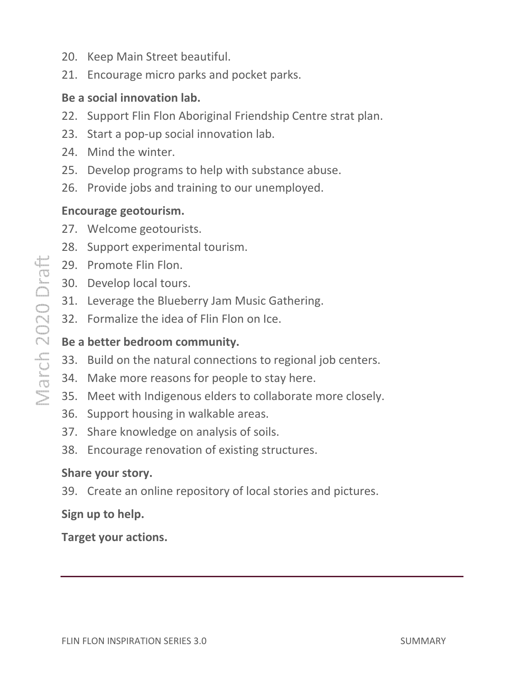- 20. [Keep Main Street beautiful.](#page-7-0)
- 21. [Encourage micro parks and pocket parks.](#page-7-0)

#### [Be a social innovation lab.](#page-8-0)

- 22. Support Flin Flon Aboriginal Friendship Centre strat plan.
- 23. [Start a pop-up social innovation lab.](#page-8-0)
- 24. [Mind the winter.](#page-9-0)
- 25. [Develop programs to help with substance abuse.](#page-9-0)
- 26. [Provide jobs and training to our unemployed.](#page-9-0)

#### [Encourage geotourism.](#page-10-0)

- 27. [Welcome geotourists](#page-10-0)
- 28. [Support experimental tourism.](#page-10-0)
- 29. [Promote Flin Flon.](#page-10-0)
- 30. [Develop local tours.](#page-11-0)
- 31. [Leverage the Blueberry Jam Music Gathering.](#page-11-0)
- 32. [Formalize the idea of Flin Flon on Ice.](#page-11-0)

# [Be a better bedroom community.](#page-12-0) in Flon Abor<br>
p-up social in<br>
winter.<br>
rograms to l<br>
bs and train<br> **tourism.**<br>
geotourists.<br>
xperimental<br>
ilin Flon.<br>
bcal tours.<br>
the Blueberr<br>
the idea of l<br> **droom comr**<br>
ne natural comentary<br>
on the idea of l<br>
droom co

- 33. [Build on the natural connections to regional job centers.](#page-12-0)
- 34. [Make more reasons for people to stay here.](#page-12-0)
- 35. Meet with Indigenous elders to collaborate more closely.
- 36. [Support housing in walkable areas.](#page-12-0)
- 37. [Share knowledge on analysis of soils.](#page-13-0)
- 38. [Encourage renovation of ex](#page-13-0)isting structures.

#### [Share your story.](#page-14-0)

39. [Create an online repository of local stories and pictures](#page-14-0) pictures.

#### [Sign up to help.](#page-16-0)

[Target your actions.](#page-18-0)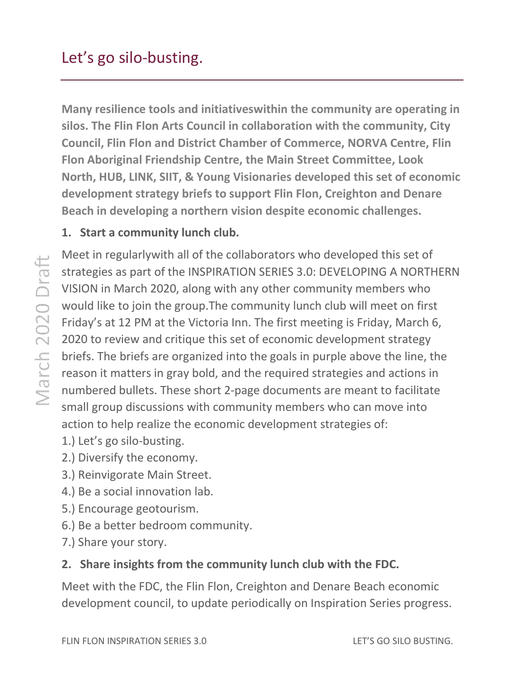<span id="page-2-0"></span>Many resilience tools and initiativeswithin the community are operating in silos. The Flin Flon Arts Council in collaboration with the community, City Council, Flin Flon and District Chamber of Commerce Commerce, NORVA C Centre, Flin Flon Aboriginal Friendship Centre, the Main Street Committee, Look North, HUB, LINK, SIIT, & Young Visionaries developed this set of economic development strategy briefs to support Flin Flon, Creighton and Denare Beach in developing a northern vision despite economic challenges. ntre, the Main Street Comn<br>Ing Visionaries developed th<br>to support Flin Flon, Creight<br>Irn vision despite economic

## 1. Start a community lunch club.

Meet in regularlywith all of the collaborators who developed this set of Meet in regularlywith all of the collaborators who developed this set of<br>strategies as part of the INSPIRATION SERIES 3.0: DEVELOPING A NORTHERN VISION in March 2020, along with any other community members who would like to join the group. The community lunch club will meet on first Friday's at 12 PM at the Victoria Inn. The first meeting is Friday, March 6, 2020 to review and critique this set of economic development strategy briefs. The briefs are organized into the goals in purple above the line, the reason it matters in gray bold, and the required strategies and actions in numbered bullets. These short 2 2-page documents are meant to facilitate small group discussions with community members who can move into action to help realize the economic development strategies of: VISION in March 2020, along with any other community members who<br>would like to join the group.The community lunch club will meet on first<br>Friday's at 12 PM at the Victoria Inn. The first meeting is Friday, March 6,<br>2020 to

- 1.) Let's go silo-busting.
- 2.) Diversify the economy.
- 3.) Reinvigorate Main Street. tion to help realize the eco<br>
) Let's go silo-busting.<br>
) Diversify the economy.<br>
) Reinvigorate Main Street.<br>
) Be a social innovation lab.
- 4.) Be a social innovation lab
- 5.) Encourage geotourism.
- 6.) Be a better bedroom community.
- 7.) Share your story.

## 2. Share insights from the community lunch club with the FDC.

Meet with the FDC, the Flin Flon, Creighton and Denare Beach economic development council, to update periodically on Inspiration Series progress.<br>FLIN FLON INSPIRATION SERIES 3.0 LET'S GO SILO BUSTING.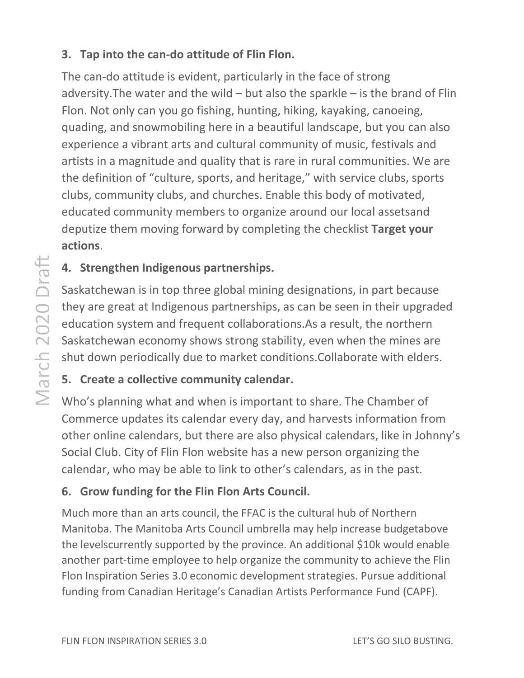# <span id="page-3-0"></span>3. Tap into the can-do attitude of Flin Flon.

The can-do attitude is evident, particularly in the face of strong adversity. The water and the wild  $-$  but also the sparkle  $-$  is the brand of Flin Flon. Not only can you go fishing, hunting, hiking, kayaking, canoeing, quading, and snowmobiling here in a beautiful landscape, but you can also experience a vibrant arts and cultural community of music, festivals and artists in a magnitude and quality that is rare in rural communities. We are the definition of "culture, sports, and heritage," with service clubs, sports clubs, community clubs, and churches. Enable this body of motivated, body assetsand educated community members to organize around our local assets deputize them moving forward by completing the checklist Target your actions.

# 4. Strengthen Indigenous partnerships.

Saskatchewan is in top three global mining designations, in part because they are great at Indigenous partnerships, as can be seen in their upgraded education system and frequent collaborations.As a result, the norther Saskatchewan economy shows strong stability, even when the mines are shut down periodically due to market conditions.Collaborate with elders. rt because<br>eir upgrade<br>northern

# 5. Create a collective community calendar.

Who's planning what and when is important to share. The Chamber of Commerce updates its calendar every day, and harvests information from other online calendars, but there are also physical calendars, like in Johnny's Social Club. City of Flin Flon website has a new person organizing the calendar, who may be able to link to other's calendars, as in the past. rce updates its calendar every day, and harvests information formation formation formations, but there are also physical calendars, like in Joub. City of Flin Flon website has a new person organizing the r, who may be able hewan economy shows strong stability, even when the mines<br>wn periodically due to market conditions.Collaborate with eld<br>ite a collective community calendar.<br>Janning what and when is important to share. The Chamber<br>rce upda

# 6. Grow funding for the Flin Flon Arts Council.

Much more than an arts council, the FFAC is the cultural hub of Northern calendar, who may be able to link to other's calendars, as in the past.<br> **6. Grow funding for the Flin Flon Arts Council.**<br>
Much more than an arts council, the FFAC is the cultural hub of Northern<br>
Manitoba. The Manitoba A the levelscurrently supported by the province. An additional \$10k would enable another part-time employee to help organize the community to achieve the Flin Flon Inspiration Series 3.0 economic development strategies. Pursue additional funding from Canadian Heritage's Canadian Artists Performance Fund (CAPF).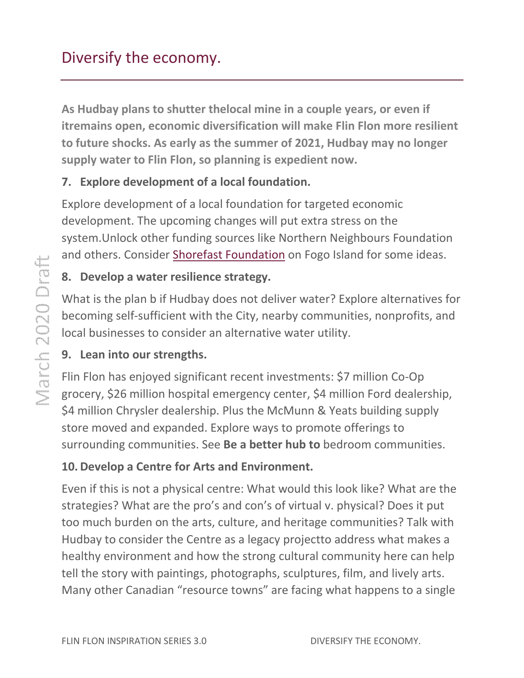<span id="page-4-0"></span>As Hudbay plans to shutter thelocal mine in a couple years, or even if As Hudbay plans to shutter thelocal mine in a couple years, or even if<br>itremains open, economic diversification will make Flin Flon more resilient to future shocks. As early as the summer of 2021, Hudbay may no longer supply water to Flin Flon, so planning is expedient now.

# 7. Explore development of a local foundation.

Explore development of a local foundation for targeted economic development. The upcoming changes will put extra stress on the development. The upcoming changes will put extra stress on the<br>system.Unlock other funding sources like Northern Neighbours Foundation and others. Consider Shorefast Foundation on Fogo Island for some ideas.

# 8. Develop a water resilience strategy.

What is the plan b if Hudbay does not deliver water? Explore alternatives for becoming self-sufficient with the City, nearby communities, nonprofits, and<br>local businesses to consider an alternative water utility.<br>**9. Lean into our strengths.**<br>Flin Flon has enjoyed significant recent investments: \$7 local businesses to consider an alternative water utility.

# 9. Lean into our strengths.

Flin Flon has enjoyed significant recent investments: \$7 million Co grocery, \$26 million hospital emergency center, \$4 million Ford dealership, grocery, \$26 million hospital emergency center, \$4 million Ford dealershi<br>\$4 million Chrysler dealership. Plus the McMunn & Yeats building supply store moved and expanded. Explore ways to promote offerings to grocery, \$26 million hospital emergency center, \$4 million Ford dealership<br>\$4 million Chrysler dealership. Plus the McMunn & Yeats building supply<br>store moved and expanded. Explore ways to promote offerings to<br>surrounding

# 10. Develop a Centre for Arts and Environment Environment.

Even if this is not a physical centre: What would this look like? What are the<br>strategies? What are the pro's and con's of virtual v. physical? Does it put strategies? What are the pro's and con's of virtual v. physical? Does it put too much burden on the arts, culture, and heritage communities? Talk with Hudbay to consider the Centre as a legacy projectto address what makes a<br>healthy environment and how the strong cultural community here can help healthy environment and how the strong cultural community here can help tell the story with paintings, photographs, sculptures, film, and lively arts. Many other Canadian "resource towns" are facing what happens to a single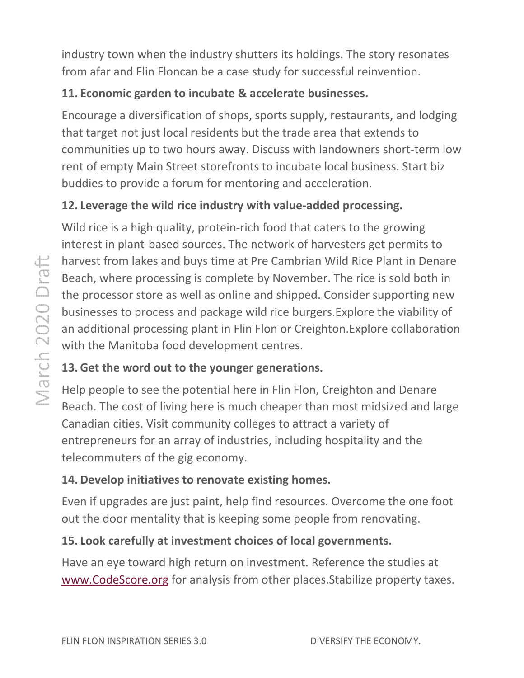<span id="page-5-0"></span>industry town when the industry shutters its holdings. The story resonates from afar and Flin Floncan be a case study for successful reinvention.

# 11. Economic garden to incubate & accelerate businesses.

Encourage a diversification of shops, sports supply, restaurants, , and lodging that target not just local residents but the trade area that extends to that target not just local residents but the trade area that extends to<br>communities up to two hours away. Discuss with landowners short-term low rent of empty Main Street storefronts to incubate local business. Start biz buddies to provide a forum for mentoring and acceleration.

# 12. Leverage the wild rice industry with value-added processing.

Wild rice is a high quality, protein-rich food that caters to the growing interest in plant-based sources. The network of harvesters get permits to harvest from lakes and buys time at Pre Cambrian Wild Rice Plant in Denare Beach, where processing is complete by November. The rice is sold both in the processor store as well as online and shipped. Consider supporting new the processor store as well as online and shipped. Consider supporting new<br>businesses to process and package wild rice burgers.Explore the viability of an additional processing plant in Flin Flon or Creighton. Explore collaboration with the Manitoba food development centres.

# 13. Get the word out to the younger generations.

Help people to see the potential here in Flin Flon, Creighton and Denare Beach. The cost of living here is much cheaper than most midsized and large Canadian cities. Visit community colleges to attract a variety of entrepreneurs for an array of industries, including hospitality and the telecommuters of the gig economy. n.Explore collaboration<br>ighton and Denare<br>nost midsized and large<br>variety of<br>spitality and the<br>vercome the one foot

# 14. Develop initiatives to renovate existing homes homes.

Even if upgrades are just paint, help find resources. Overcome the one foo out the door mentality that is keeping some people from renovating.

#### 15. Look carefully at investment choices of local governments. .

Have an eye toward high return on investment. Reference the studies at [www.CodeScore.org](http://www.codescore.org/) for analysis from other places.Stabilize property taxes.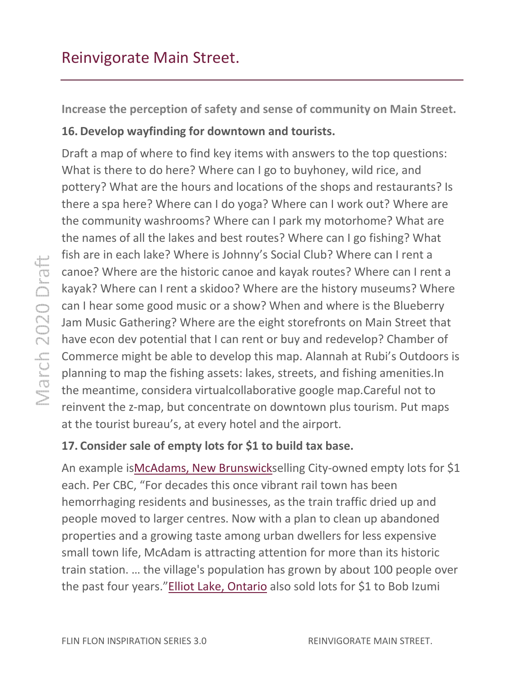<span id="page-6-0"></span>Increase the perception of safety and sense of community on Main Street. Main

## 16. Develop wayfinding for downtown and tourists.

Draft a map of where to find key items with answers to the top questions: What is there to do here? Where can I go to buyhoney, wild rice, and pottery? What are the hours and locations of the shops and restaurants? Is there a spa here? Where can I do yoga? Where can I work out? Where are the community washrooms? Where can I park my motorhome? What are the community washrooms? Where can I park my motorhome? What are<br>the names of all the lakes and best routes? Where can I go fishing? What fish are in each lake? Where is Johnny's Social Club? Where can I rent a fish are in each lake? Where is Johnny's Social Club? Where can I rent a<br>canoe? Where are the historic canoe and kayak routes? Where can I rent a kayak? Where can I rent a skidoo? Where are the history museums? Where can I hear some good music or a show? When and where is the Blueberry Jam Music Gathering? Where are the eight storefronts on Main Street that have econ dev potential that I can rent or buy and redevelop? Chamber of Commerce might be able to develop this map. Alannah at Rubi's Outdoors is planning to map the fishing assets: lakes, streets, and fishing amenities. fishing amenities.In the meantime, considera virtualcollaborative google map.Careful not to reinvent the z-map, but concentrate on downtown plus tourism. Put maps at the tourist bureau's, at every hotel and the airport.

# 17. Consider sale of empty lots for \$1 to build tax base.

An example is McAdams, New Brunswickselling City-owned empty lots for \$1 each. Per CBC, "For decades this once vibrant rail town has been hemorrhaging residents and businesses, as the train traffic dried up and people moved to larger centres. Now with a plan to clean up abandoned properties and a growing taste among urban dwellers for less expensive small town life, McAdam is attracting attention for more than its historic train station. … the village's population has grown b by about 100 people over the past four years."Elliot Lake, Ontario also sold lots for \$1 to Bob Izumi each. Per CBC, "For decades this once vibrant rail town has been<br>hemorrhaging residents and businesses, as the train traffic dried up and<br>people moved to larger centres. Now with a plan to clean up abandoned<br>properties and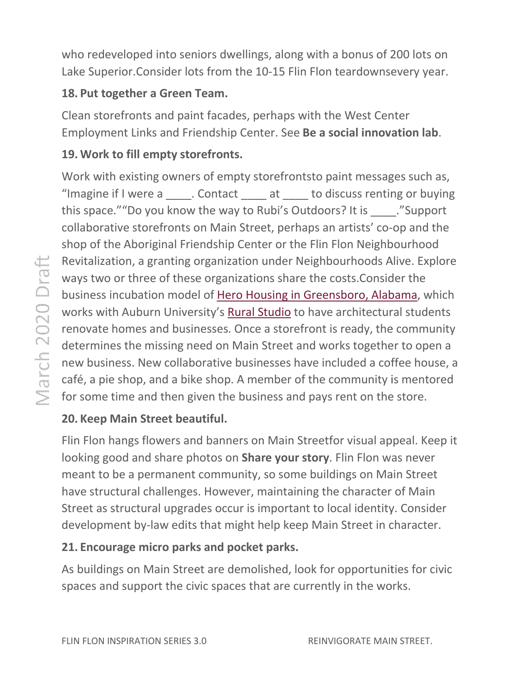<span id="page-7-0"></span>who redeveloped into seniors dwellings, along with a bonus of 200 lots on Lake Superior. Consider lots from the 10-15 Flin Flon teardownsevery year.

## 18. Put together a Green Team Team.

Clean storefronts and paint facades, perhaps with the West Center Employment Links and Friendship Center. See [Be a social innovation](#page-8-0) lab.

# 19. Work to fill empty storefronts.

Work with existing owners of empty storefrontsto paint messages such as, "Imagine if I were a \_\_\_\_\_. Contact \_\_\_\_\_ at \_\_\_\_\_ to discuss renting or buying this space.""Do you know the way to Rubi's Outdoors? It is \_\_\_\_\_."Support collaborative storefronts on Main Street, perhaps an artists' co-op and the shop of the Aboriginal Friendship Center or the Flin Flon Neighbourhood Revitalization, a granting organization under Neighbourhoods Alive. Explore ways two or three of these organizations share the costs. Consider the business incubation model of Hero Housing in Greensboro, Alabama works with Auburn University's **[Rural Studio](http://ruralstudio.org/)** to have architectural students renovate homes and businesses. Once a storefront is ready, the community determines the missing need on Main Street and works together to open a new business. New collaborative businesses have included a coffee house, a café, a pie shop, and a bike shop. A member of the community is mentored for some time and then given the business and pays rent on the store. or the Flin Flon Neighbourhood<br>der Neighbourhoods Alive. Explore<br>share the costs.Consider the<br>ng in Greensboro, Alabama, which

# 20. Keep Main Street beautiful.

Flin Flon hangs flowers and banners on Main Streetfor visual appeal. Keep it looking good and share photos on Share your story. Flin Flon was never meant to be a permanent community, so some buildings on Main Street have structural challenges. However, maintaining the character of Main Street as structural upgrades occur is important to local identity development by-law edits that might help keep Main Street in character. Isinesses have included a coffee house,<br>member of the community is mentored<br>usiness and pays rent on the store.<br>ion Main Streetfor visual appeal. Keep<br>**hare your story**. Flin Flon was never<br>ty, so some buildings on Main St

# 21. Encourage micro parks and pocket parks.

As buildings on Main Street are demolished, look for opportunities for civic As buildings on Main Street are demolished, look for opportunities<br>spaces and support the civic spaces that are currently in the works.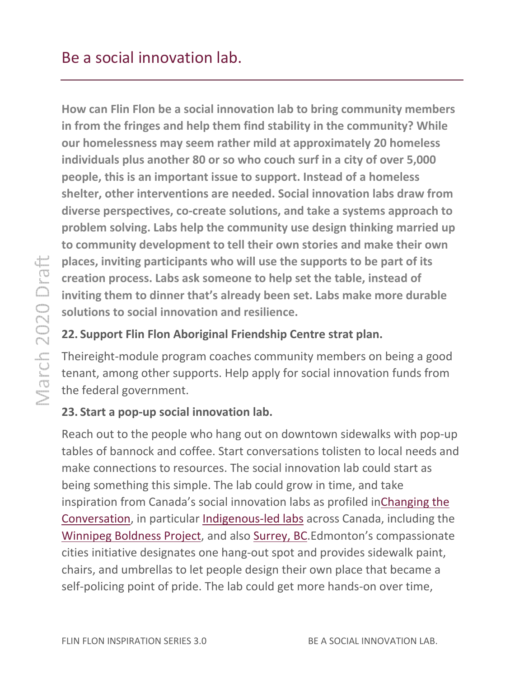<span id="page-8-0"></span>How can Flin Flon be a social innovation lab to bring community members in from the fringes and help them find stability in the community? While our homelessness may seem rather mild at approximately 20 homeless individuals plus another 80 or so who couch surf in a city of over 5,000 people, this is an important issue to support. Instead of a homeless shelter, other interventions are needed. Social innovation labs draw from diverse perspectives, co-create solutions, and take a systems approach to problem solving. Labs help the community use design thinking married up to community development to tell their own stories and make their own places, inviting participants who will use the supports to be part of its creation process. Labs ask someone to help set the table, instead of inviting them to dinner that's already been set. Labs make more durable solutions to social innovation and resilience. co-create solutions, and take a systems approach to<br>help the community use design thinking married up<br>ment to tell their own stories and make their own<br>pants who will use the supports to be part of its<br>ask someone to help

#### 22. Support Flin Flon Aboriginal Friendship Centre strat plan.

Theireight-module program coaches community members on being a good tenant, among other supports. Help apply for social innovation funds from<br>the federal government.<br>**23. Start a pop-up social innovation lab.**<br>Reach out to the people who hang out on downtown sidewalks with pop-up the federal government.

#### 23. Start a pop-up social innovation lab.

Reach out to the people who hang out on downtown sidewalks tables of bannock and coffee. Start conversations tolisten to local needs and tables of bannock and coffee. Start conversations tolisten to local needs<br>make connections to resources. The social innovation lab could start as being something this simple. The lab could grow in time, and take being something this simple. The lab could grow in time, and take<br>inspiration from Canada's social innovation labs as profiled inChanging the Conversation, in particular Indigenous-led labs across Canada, including the Winnipeg Boldness Project, and also Surrey, BC.Edmonton's compassionate cities initiative designates one hang-out spot and provides sidewalk paint, chairs, and umbrellas to let people design their own place that bec self-policing point of pride. The lab could get more hands-on over time, Surrey, BC.Edmonton's compassiona<br>out spot and provides sidewalk paint<br>esign their own place that became a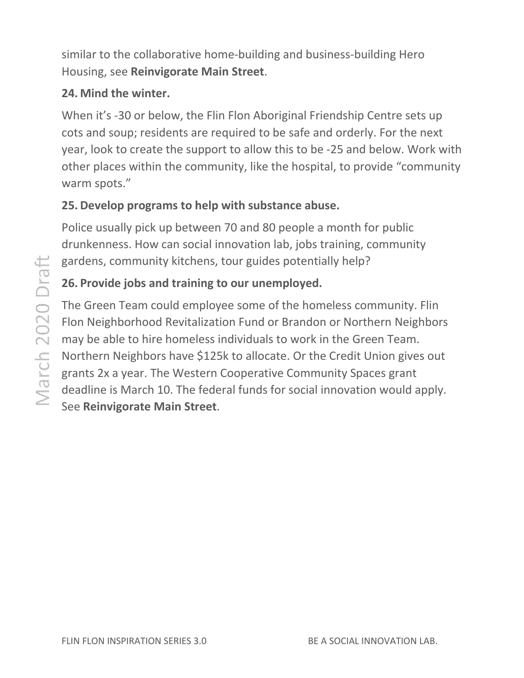<span id="page-9-0"></span>similar to the collaborative home-building and business-building Hero Housing, see [Reinvigorate Main Street](#page-6-0).

#### 24. Mind the winter.

When it's -30 or below, the Flin Flon Aboriginal Friendship Centre sets up cots and soup; residents are required to be safe and orderly. For the next year, look to create the support to allow this to be -25 and below. Work with other places within the community, like the hospital, to provide "community warm spots."

# 25. Develop programs to help with substance abuse.

Police usually pick up between 70 and 80 people a month for public drunkenness. How can social innovation lab, jobs training, community gardens, community kitchens, tour guides potentially help?

# 26. Provide jobs and training to our unemployed.

The Green Team could employee some of the homeless community. Flin Flon Neighborhood Revitalization Fund or Brandon or Northern Neighbors may be able to hire homeless individuals to work in the Green Team. Northern Neighbors have \$125k to allocate. Or the Credit Union gives out grants 2x a year. The Western Cooperative Community Spaces grant deadline is March 10. The federal funds for social innovation would apply. See [Reinvigorate Main Street](#page-6-0). When it's -30 or below, the Flin Flon Aboriginal Friendship Centre sets up<br>cots and soup; residents are required to be safe and orderly. For the next<br>year, look to create the support to allow this to be -25 and below. Work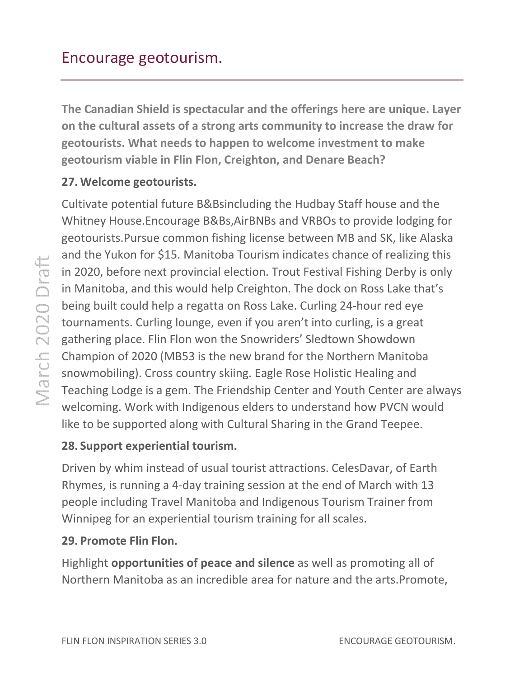<span id="page-10-0"></span>The Canadian Shield is spectacular and the offerings here are unique. Layer on the cultural assets of a strong arts community to increase the draw for geotourists. What needs to happen to welcome investment to make<br>geotourism viable in Flin Flon, Creighton, and Denare Beach? geotourism viable in Flin Flon, Creight a strong arts community to increase the draw for<br>to happen to welcome investment to make

#### 27. Welcome geotourists. .

Cultivate potential future B&Bsincluding the Hudbay Staff house and the Whitney House.Encourage B&Bs,AirBNBs and VRBOs to provide lodging for Cultivate potential future B&Bsincluding the Hudbay Staff house and the<br>Whitney House.Encourage B&Bs,AirBNBs and VRBOs to provide lodging for<br>geotourists.Pursue common fishing license between MB and SK, like Alaska and the Yukon for \$15. Manitoba Tourism indicates chance of realizing this in 2020, before next provincial election. Trout Festival Fishing Derby is only in Manitoba, and this would help Creighton. The dock on Ross Lake that's being built could help a regatta on Ross Lake. Curling 24-hour red eye tournaments. Curling lounge, even if you aren't into curling, is a gathering place. Flin Flon won the Snowriders' Sledtown Showdown Champion of 2020 (MB53 is the new brand for the Northern Manitoba snowmobiling). Cross country skiing. Eagle Rose Holistic Healing and gathering place. Flin Flon won the Snowriders' Sledtown Showdown<br>Champion of 2020 (MB53 is the new brand for the Northern Manitoba<br>snowmobiling). Cross country skiing. Eagle Rose Holistic Healing and<br>Teaching Lodge is a ge welcoming. Work with Indigenous elders to understand how PVCN would like to be supported along with Cultural Sharing in the Grand Teepee. or \$15. Manitoba Tourism indicates chance of realizing<br>next provincial election. Trout Festival Fishing Derby is  $\alpha$ <br>d this would help Creighton. The dock on Ross Lake tha<br>d help a regatta on Ross Lake. Curling 24-hour re

### 28. Support experiential tourism.

Driven by whim instead of usual tourist attractions. CelesDavar, of Earth Rhymes, is running a 4-day training session at the end of March with 13 Driven by whim instead of usual tourist attractions. CelesDavar, of Earth<br>Rhymes, is running a 4-day training session at the end of March with 13<br>people including Travel Manitoba and Indigenous Tourism Trainer from Winnipeg for an experiential tourism training for all scales.

#### 29. Promote Flin Flon.

Highlight opportunities of peace and silence as well as promoting all of Northern Manitoba as an incredible area for nature and the arts. Promote,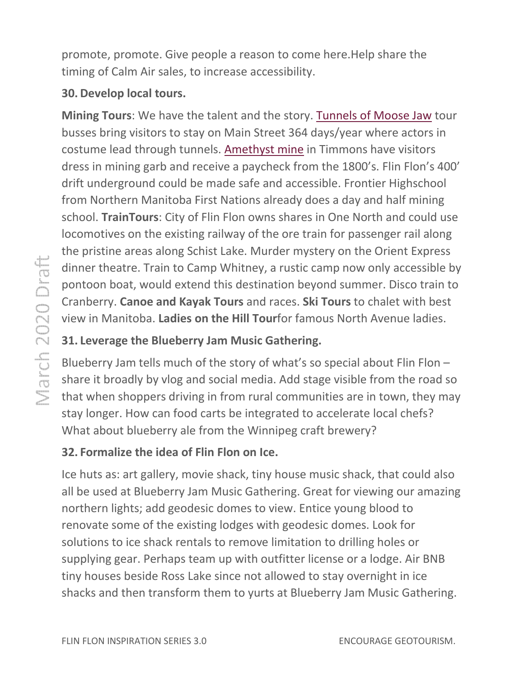<span id="page-11-0"></span>promote, promote. Give people a reason to come here. Help share the timing of Calm Air sales, to increase accessibility.

#### 30. Develop local tours.

Mining Tours: We have the talent and the story. Tunnels of Moose Jaw tour busses bring visitors to stay on Main Street 364 days/year where actors in costume lead through tunnels. [Amethyst](http://www.amethystmine.com/) mine in Timmons have visitors dress in mining garb and receive a paycheck from the 1800's. Flin Flon's 400' drift underground could be made safe and accessible. Frontier Highschool from Northern Manitoba First Nations already does a day and half mining school. TrainTours: City of Flin Flon owns shares in One North and could use locomotives on the existing railway of the ore train for passenger rail the pristine areas along Schist Lake. Murder mystery on the Orient Express the pristine areas along Schist Lake. Murder mystery on the Orient Express<br>dinner theatre. Train to Camp Whitney, a rustic camp now only accessible by pontoon boat, would extend this destination beyond summer. D Disco train to Cranberry. Canoe and Kayak Tours and races. Ski Tours to chalet with best view in Manitoba. Ladies on the Hill Tourfor famous North Avenue ladies. . Frontier Highschool<br>day and half mining<br>ne North and could use<br>or passenger rail along

#### 31. Leverage the Blueberry Jam Music Gathering.

Blueberry Jam tells much of the story of what's so special about Flin Flon share it broadly by vlog and social media. Add stage visible from the road so<br>that when shoppers driving in from rural communities are in town, they may that when shoppers driving in from rural communities are in town, they stay longer. How can food carts be integrated to accelerate local chefs? What about blueberry ale from the Winnipeg craft brewery?

#### 32. Formalize the idea of Flin Flon on Ice.

Ice huts as: art gallery, movie shack, tiny house music shack, that could also all be used at Blueberry Jam Music Gathering. Great for viewing our amazing northern lights; add geodesic domes to view. Entice young blood to renovate some of the existing lodges with geodesic domes. Look for solutions to ice shack rentals to remove limitation to drilling holes or supplying gear. Perhaps team up with outfitter license or a lodge. Air BNB tiny houses beside Ross Lake since not allowed to stay overnight in ice shacks and then transform them to yurts at Blueberry Jam Music Gathering. . Great for viewing our a<br>Entice young blood to<br>odesic domes. Look for<br>ation to drilling holes or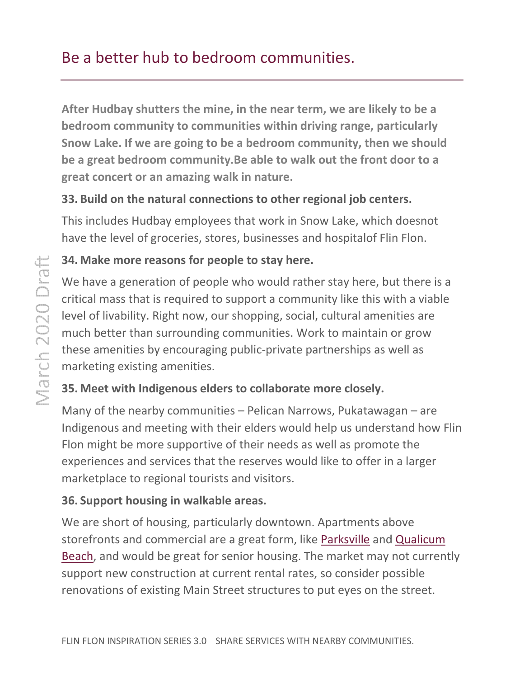# <span id="page-12-0"></span>Be a better hub to bedroom communities.

After Hudbay shutters the mine, in the near term, we are likely to be a bedroom community to communities within driving range, particularly Snow Lake. If we are going to be a bedroom community, then we should<br>be a great bedroom community.Be able to walk out the front door to a<br>great concert or an amazing walk in nature.<br>33. Build on the natural connections to be a great bedroom community.Be able to walk out the front door to a great concert or an amazing walk in nature.

#### 33. Build on the natural connections to other regional job centers.

This includes Hudbay employees that work in Snow Lake, which doesnot have the level of groceries, stores, businesses and hospitalof Flin Flon.

#### 34. Make more reasons for people to stay here.

We have a generation of people who would rather stay here, but there is a critical mass that is required to support a community like this with a viable critical mass that is required to support a community like this with a vial<br>level of livability. Right now, our shopping, social, cultural amenities are much better than surrounding communities. Work to maintain or grow these amenities by encouraging public-private partnerships as well as marketing existing amenities. these amenities by encouraging public-private partnerships as well as<br>marketing existing amenities.<br>**35. Meet with Indigenous elders to collaborate more closely.**<br>Many of the nearby communities – Pelican Narrows, Pukatawag

#### 35. Meet with Indigenous elders to collaborate more closely.

Indigenous and meeting with their elders would help us understand how Flin Flon might be more supportive of their needs as well as promote the<br>experiences and services that the reserves would like to offer in a larg<br>marketplace to regional tourists and visitors.<br>**36. Support housing in walkable a** experiences and services that the reserves would like to offer in a larger marketplace to regional tourists and visitors.

#### 36. Support housing in walkable areas.

We are short of housing, particularly downtown. Apartments above storefronts and commercial are a great form, like Parksville and Qualicum Beach, and would be great for senior housing. The market may not currently support new construction at current rental rates, so consider possible support new construction at current rental rates, so consider possible<br>renovations of existing Main Street structures to put eyes on the street.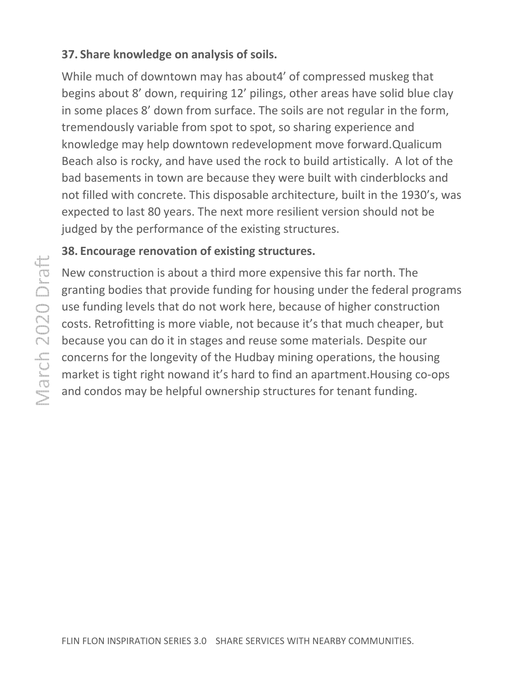## <span id="page-13-0"></span>37. Share knowledge on analysis of soils.

While much of downtown may has about4' of compressed muskeg that begins about 8' down, requiring 12' pilings, other areas have solid blue clay begins about 8' down, requiring 12' pilings, other areas have solid blue clay<br>in some places 8' down from surface. The soils are not regular in the form, tremendously variable from spot to spot, so sharing experience and tremendously variable from spot to spot, so sharing experience and<br>knowledge may help downtown redevelopment move forward.Qualicum Beach also is rocky, and have used the rock to build artistically. A lot of the bad basements in town are because they were built with cinderblocks and not filled with concrete. This disposable architecture, built in the 1930's 1930's, was expected to last 80 years. The next more resilient version should not be judged by the performance of the existing structures.

## 38. Encourage renovation of existing structures.

New construction is about a third more expensive this far north. The granting bodies that provide funding for housing under the federal programs use funding levels that do not work here, because of higher construction costs. Retrofitting is more viable, not because it's that much cheaper, but because you can do it in stages and reuse some materials. Despite our concerns for the longevity of the Hudbay mining operations, the housing concerns for the longevity of the Hudbay mining operations, the housing<br>market is tight right nowand it's hard to find an apartment.Housing co-ops and condos may be helpful ownership structures for tenant funding. expected to last 80 years. The next more resilient version should not be<br>judged by the performance of the existing structures.<br>**38. Encourage renovation of existing structures.**<br>New construction is about a third more expen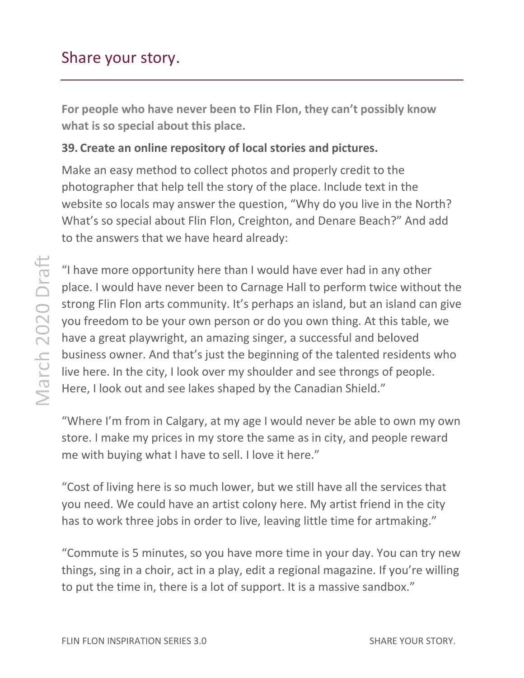# <span id="page-14-0"></span>Share your story.

For people who have never been to Flin Flon, they can't possibly know what is so special about this place.

#### 39. Create an online repository of local stories and pictures.

Make an easy method to collect photos and properly credit to the photographer that help tell the story of the place. Include text in the website so locals may answer the question, "Why do you live in the North? What's so special about Flin Flon, Creighton, and Denare Beach?" to the answers that we have heard already: in the<br>n the North<mark>?</mark><br>n?" And add

"I have more opportunity here than I would have ever had in any other "I have more opportunity here than I would have ever had in any other<br>place. I would have never been to Carnage Hall to perform twice without the strong Flin Flon arts community. It's perhaps an island, but an island can give you freedom to be your own person or do you own thing. At this table, we have a great playwright, an amazing singer, a successful and beloved business owner. And that's just the beginning of the talented residents who live here. In the city, I look over my shoulder and see throngs of people. Here, I look out and see lakes shaped by the Canadian Shield." is community. It's perhaps an island, but an island can<br>your own person or do you own thing. At this table, v<br>right, an amazing singer, a successful and beloved<br>id that's just the beginning of the talented residents v<br>i, I

"Where I'm from in Calgary, at my age I would never be able to own my own my store. I make my prices in my store the same as in city, and people reward me with buying what I have to sell. I love it here."

"Cost of living here is so much lower, but we still have all the services that store. I make my prices in my store the same as in city, and people reward<br>me with buying what I have to sell. I love it here."<br>"Cost of living here is so much lower, but we still have all the services that<br>you need. We co has to work three jobs in order to live, leaving little time for artmaking."

"Commute is 5 minutes, so you have more time in your day. You can try new things, sing in a choir, act in a play, edit a regional magazine. If you're willing "Commute is 5 minutes, so you have more time in your day. You car<br>things, sing in a choir, act in a play, edit a regional magazine. If you'r<br>to put the time in, there is a lot of support. It is a massive sandbox."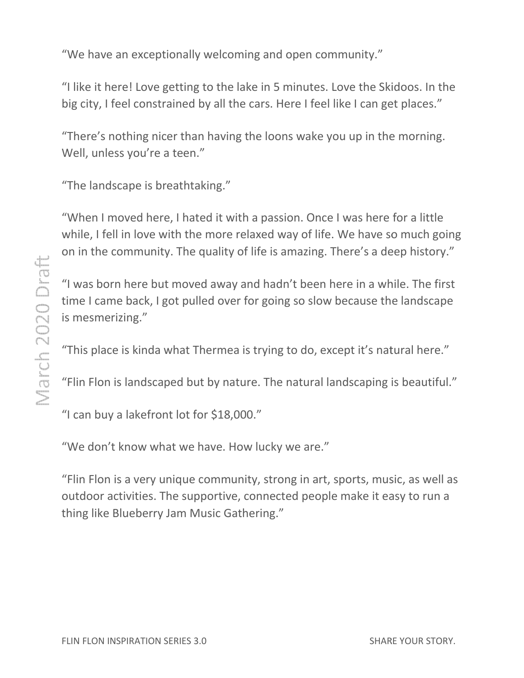"We have an exceptionally welcoming and open community."

"I like it here! Love getting to the lake in 5 minutes. Love the Skidoos. In the big city, I feel constrained by all the cars. Here I feel like I can get places."

"There's nothing nicer than having the loons wake you up in the morning. Well, unless you're a teen." I feel constrained by all the cars. Here I feel like I can get places."<br>
s nothing nicer than having the loons wake you up in the morning.<br>
nless you're a teen."<br>
ndscape is breathtaking."<br>
I moved here, I hated it with a

"The landscape is breathtaking."

"When I moved here, I hated it with a passion. Once I was here for a little while, I fell in love with the more relaxed way of life. We have so much going while, I fell in love with the more relaxed way of life. We have so much going<br>on in the community. The quality of life is amazing. There's a deep history." while, I fell in love with the more relaxed way of life. We have so much going<br>on in the community. The quality of life is amazing. There's a deep history."<br>"I was born here but moved away and hadn't been here in a while.

"I was born here but moved away and hadn't been here in a while. The first<br>time I came back, I got pulled over for going so slow because the landscape is mesmerizing."

"This place is kinda what Thermea is trying to do, except it's natural here."

"Flin Flon is landscaped but by nature. The natural landscaping is beautiful."

"I can buy a lakefront lot for \$18,000."

"We don't know what we have. How lucky we are."

"We don't know what we have. How lucky we are."<br>"Flin Flon is a very unique community, strong in art, sports, music, as well as outdoor activities. The supportive, connected people make it easy to run a thing like Blueberry Jam Music Gathering Gathering."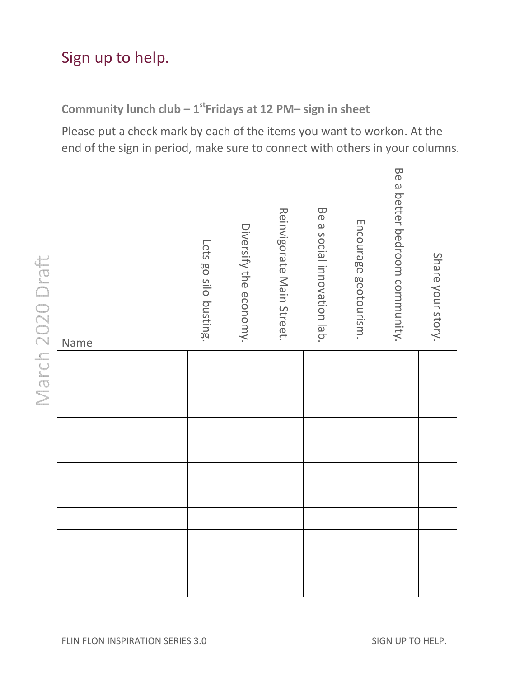# <span id="page-16-0"></span>Sign up to help.

Community lunch club  $-1^{st}$ Fridays at 12 PM- sign in sheet

Please put a check mark by each of the items you want to workon. end of the sign in period, make sure to connect with others in your columns.

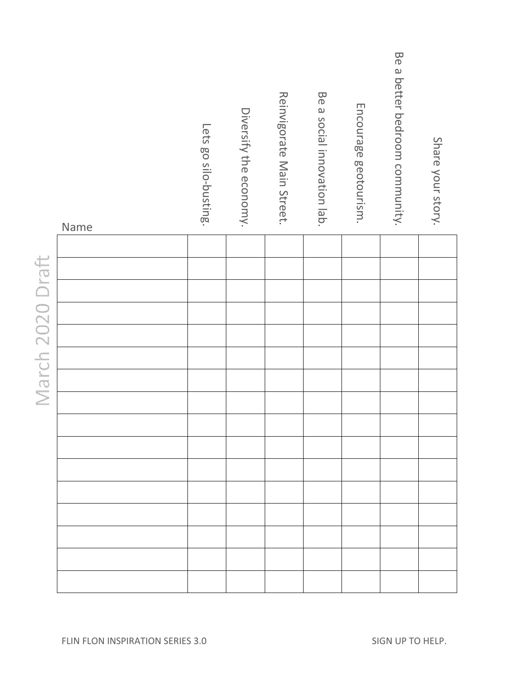| Name             |                                  | Lets go silo-busting. | Diversify the economy. | Reinvigorate Main Street. | Be a social innovation lab. | Encourage geotourism. | Be a better bedroom community. | Share your story. |
|------------------|----------------------------------|-----------------------|------------------------|---------------------------|-----------------------------|-----------------------|--------------------------------|-------------------|
|                  |                                  |                       |                        |                           |                             |                       |                                |                   |
|                  |                                  |                       |                        |                           |                             |                       |                                |                   |
|                  |                                  |                       |                        |                           |                             |                       |                                |                   |
| March 2020 Draft |                                  |                       |                        |                           |                             |                       |                                |                   |
|                  |                                  |                       |                        |                           |                             |                       |                                |                   |
|                  |                                  |                       |                        |                           |                             |                       |                                |                   |
|                  |                                  |                       |                        |                           |                             |                       |                                |                   |
|                  |                                  |                       |                        |                           |                             |                       |                                |                   |
|                  |                                  |                       |                        |                           |                             |                       |                                |                   |
|                  |                                  |                       |                        |                           |                             |                       |                                |                   |
|                  |                                  |                       |                        |                           |                             |                       |                                |                   |
|                  |                                  |                       |                        |                           |                             |                       |                                |                   |
|                  |                                  |                       |                        |                           |                             |                       |                                |                   |
|                  |                                  |                       |                        |                           |                             |                       |                                |                   |
|                  |                                  |                       |                        |                           |                             |                       |                                |                   |
|                  |                                  |                       |                        |                           |                             |                       |                                |                   |
|                  | FLIN FLON INSPIRATION SERIES 3.0 |                       |                        |                           |                             |                       | SIGN UP TO HELP.               |                   |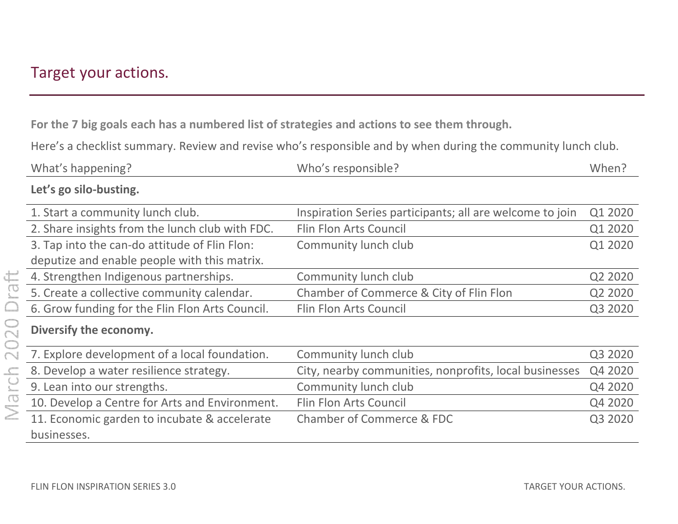# <span id="page-18-0"></span>Target your actions.

For the 7 big goals each has a numbered list of strategies and actions to see them through.

Here's a checklist summary. Review and revise who's responsible and by when during the community lunch club.

| What's happening?                                           | Who's responsible?                                       | When?   |
|-------------------------------------------------------------|----------------------------------------------------------|---------|
| Let's go silo-busting.                                      |                                                          |         |
| 1. Start a community lunch club.                            | Inspiration Series participants; all are welcome to join | Q1 2020 |
| 2. Share insights from the lunch club with FDC.             | <b>Flin Flon Arts Council</b>                            | Q1 2020 |
| 3. Tap into the can-do attitude of Flin Flon:               | Community lunch club                                     | Q1 2020 |
| deputize and enable people with this matrix.                |                                                          |         |
| 4. Strengthen Indigenous partnerships.                      | Community lunch club                                     | Q2 2020 |
| 5. Create a collective community calendar.                  | Chamber of Commerce & City of Flin Flon                  | Q2 2020 |
| 6. Grow funding for the Flin Flon Arts Council.             | Flin Flon Arts Council                                   | Q3 2020 |
| Diversify the economy.                                      |                                                          |         |
| 7. Explore development of a local foundation.               | Community lunch club                                     | Q3 2020 |
| 8. Develop a water resilience strategy.                     | City, nearby communities, nonprofits, local businesses   | Q4 2020 |
| 9. Lean into our strengths.                                 | Community lunch club                                     | Q4 2020 |
| 10. Develop a Centre for Arts and Environment.              | Flin Flon Arts Council                                   | Q4 2020 |
| 11. Economic garden to incubate & accelerate<br>businesses. | Chamber of Commerce & FDC                                | Q3 2020 |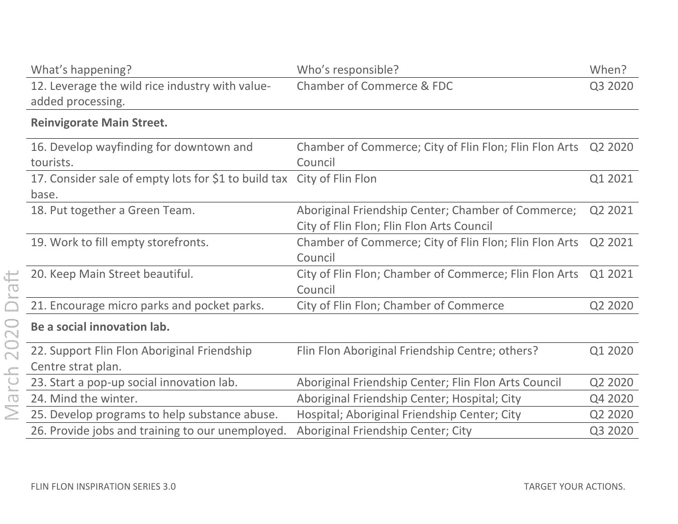| What's happening?                                                      | Who's responsible?                                     | When?   |
|------------------------------------------------------------------------|--------------------------------------------------------|---------|
| 12. Leverage the wild rice industry with value-                        | <b>Chamber of Commerce &amp; FDC</b>                   | Q3 2020 |
| added processing.                                                      |                                                        |         |
| <b>Reinvigorate Main Street.</b>                                       |                                                        |         |
| 16. Develop wayfinding for downtown and                                | Chamber of Commerce; City of Flin Flon; Flin Flon Arts | Q2 2020 |
| tourists.                                                              | Council                                                |         |
| 17. Consider sale of empty lots for \$1 to build tax City of Flin Flon |                                                        | Q1 2021 |
| base.                                                                  |                                                        |         |
| 18. Put together a Green Team.                                         | Aboriginal Friendship Center; Chamber of Commerce;     | Q2 2021 |
|                                                                        | City of Flin Flon; Flin Flon Arts Council              |         |
| 19. Work to fill empty storefronts.                                    | Chamber of Commerce; City of Flin Flon; Flin Flon Arts | Q2 2021 |
|                                                                        | Council                                                |         |
| 20. Keep Main Street beautiful.                                        | City of Flin Flon; Chamber of Commerce; Flin Flon Arts | Q1 2021 |
|                                                                        | Council                                                |         |
| 21. Encourage micro parks and pocket parks.                            | City of Flin Flon; Chamber of Commerce                 | Q2 2020 |
| Be a social innovation lab.                                            |                                                        |         |
| 22. Support Flin Flon Aboriginal Friendship                            | Flin Flon Aboriginal Friendship Centre; others?        | Q1 2020 |
| Centre strat plan.                                                     |                                                        |         |
| 23. Start a pop-up social innovation lab.                              | Aboriginal Friendship Center; Flin Flon Arts Council   | Q2 2020 |
| 24. Mind the winter.                                                   | Aboriginal Friendship Center; Hospital; City           | Q4 2020 |
| 25. Develop programs to help substance abuse.                          | Hospital; Aboriginal Friendship Center; City           | Q2 2020 |
| 26. Provide jobs and training to our unemployed.                       | Aboriginal Friendship Center; City                     | Q3 2020 |